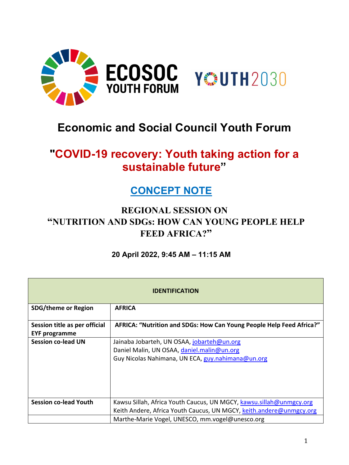

# **Economic and Social Council Youth Forum**

# **"COVID-19 recovery: Youth taking action for a sustainable future"**

## **CONCEPT NOTE**

## **REGIONAL SESSION ON "NUTRITION AND SDGs: HOW CAN YOUNG PEOPLE HELP FEED AFRICA?"**

### **20 April 2022, 9:45 AM – 11:15 AM**

| <b>IDENTIFICATION</b>                                 |                                                                                                                                               |  |
|-------------------------------------------------------|-----------------------------------------------------------------------------------------------------------------------------------------------|--|
| <b>SDG/theme or Region</b>                            | <b>AFRICA</b>                                                                                                                                 |  |
| Session title as per official<br><b>EYF programme</b> | AFRICA: "Nutrition and SDGs: How Can Young People Help Feed Africa?"                                                                          |  |
| <b>Session co-lead UN</b>                             | Jainaba Jobarteh, UN OSAA, jobarteh@un.org<br>Daniel Malin, UN OSAA, daniel.malin@un.org<br>Guy Nicolas Nahimana, UN ECA, guy.nahimana@un.org |  |
| <b>Session co-lead Youth</b>                          | Kawsu Sillah, Africa Youth Caucus, UN MGCY, kawsu.sillah@unmgcy.org<br>Keith Andere, Africa Youth Caucus, UN MGCY, keith.andere@unmgcy.org    |  |
|                                                       | Marthe-Marie Vogel, UNESCO, mm.vogel@unesco.org                                                                                               |  |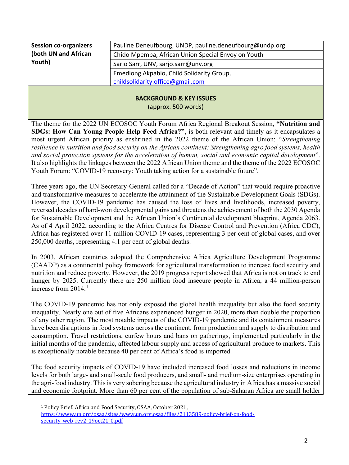| <b>Session co-organizers</b> | Pauline Deneufbourg, UNDP, pauline.deneufbourg@undp.org |
|------------------------------|---------------------------------------------------------|
| (both UN and African         | Chido Mpemba, African Union Special Envoy on Youth      |
| Youth)                       | Sarjo Sarr, UNV, sarjo.sarr@unv.org                     |
|                              | Emediong Akpabio, Child Solidarity Group,               |
|                              | childsolidarity.office@gmail.com                        |
|                              |                                                         |

#### **BACKGROUND & KEY ISSUES**

(approx. 500 words)

The theme for the 2022 UN ECOSOC Youth Forum Africa Regional Breakout Session, **"Nutrition and SDGs: How Can Young People Help Feed Africa?"**, is both relevant and timely as it encapsulates a most urgent African priority as enshrined in the 2022 theme of the African Union: "*Strengthening resilience in nutrition and food security on the African continent: Strengthening agro food systems, health and social protection systems for the acceleration of human, social and economic capital development*". It also highlights the linkages between the 2022 African Union theme and the theme of the 2022 ECOSOC Youth Forum: "COVID-19 recovery: Youth taking action for a sustainable future".

Three years ago, the UN Secretary-General called for a "Decade of Action" that would require proactive and transformative measures to accelerate the attainment of the Sustainable Development Goals (SDGs). However, the COVID-19 pandemic has caused the loss of lives and livelihoods, increased poverty, reversed decades of hard-won developmental gains and threatens the achievement of both the 2030 Agenda for Sustainable Development and the African Union's Continental development blueprint, Agenda 2063. As of 4 April 2022, according to the Africa Centres for Disease Control and Prevention (Africa CDC), Africa has registered over 11 million COVID-19 cases, representing 3 per cent of global cases, and over 250,000 deaths, representing 4.1 per cent of global deaths.

In 2003, African countries adopted the Comprehensive Africa Agriculture Development Programme (CAADP) as a continental policy framework for agricultural transformation to increase food security and nutrition and reduce poverty. However, the 2019 progress report showed that Africa is not on track to end hunger by 2025. Currently there are 250 million food insecure people in Africa, a 44 million-person increase from  $2014.<sup>1</sup>$  $2014.<sup>1</sup>$  $2014.<sup>1</sup>$ 

The COVID-19 pandemic has not only exposed the global health inequality but also the food security inequality. Nearly one out of five Africans experienced hunger in 2020, more than double the proportion of any other region. The most notable impacts of the COVID-19 pandemic and its containment measures have been disruptions in food systems across the continent, from production and supply to distribution and consumption. Travel restrictions, curfew hours and bans on gatherings, implemented particularly in the initial months of the pandemic, affected labour supply and access of agricultural produce to markets. This is exceptionally notable because 40 per cent of Africa's food is imported.

The food security impacts of COVID-19 have included increased food losses and reductions in income levels for both large- and small-scale food producers, and small- and medium-size enterprises operating in the agri-food industry. This is very sobering because the agricultural industry in Africa has a massive social and economic footprint. More than 60 per cent of the population of sub-Saharan Africa are small holder

<sup>1</sup> Policy Brief: Africa and Food Security, OSAA, October 2021,

<span id="page-1-0"></span>[https://www.un.org/osaa/sites/www.un.org.osaa/files/2113589-policy-brief-on-food](https://www.un.org/osaa/sites/www.un.org.osaa/files/2113589-policy-brief-on-food-security_web_rev2_19oct21_0.pdf)security web rev2 19oct21 0.pdf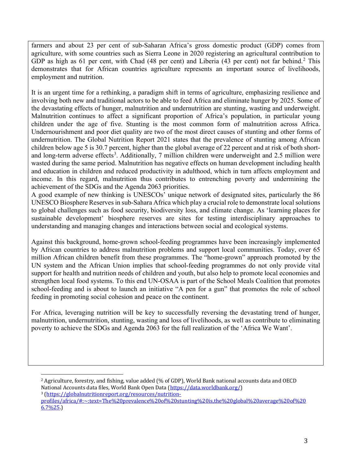farmers and about 23 per cent of sub-Saharan Africa's gross domestic product (GDP) comes from agriculture, with some countries such as Sierra Leone in 2020 registering an agricultural contribution to GDP as high as 61 per cent, with Chad (48 per cent) and Liberia (43 per cent) not far behind.<sup>[2](#page-2-0)</sup> This demonstrates that for African countries agriculture represents an important source of livelihoods, employment and nutrition.

It is an urgent time for a rethinking, a paradigm shift in terms of agriculture, emphasizing resilience and involving both new and traditional actors to be able to feed Africa and eliminate hunger by 2025. Some of the devastating effects of hunger, malnutrition and undernutrition are stunting, wasting and underweight. Malnutrition continues to affect a significant proportion of Africa's population, in particular young children under the age of five. Stunting is the most common form of malnutrition across Africa. Undernourishment and poor diet quality are two of the most direct causes of stunting and other forms of undernutrition. The Global Nutrition Report 2021 states that the prevalence of stunting among African children below age 5 is 30.7 percent, higher than the global average of 22 percent and at risk of both short-and long-term adverse effects<sup>[3](#page-2-1)</sup>. Additionally, 7 million children were underweight and 2.5 million were wasted during the same period. Malnutrition has negative effects on human development including health and education in children and reduced productivity in adulthood, which in turn affects employment and income. In this regard, malnutrition thus contributes to entrenching poverty and undermining the achievement of the SDGs and the Agenda 2063 priorities.

A good example of new thinking is UNESCOs' unique network of designated sites, particularly the 86 UNESCO Biosphere Reserves in sub-Sahara Africa which play a crucial role to demonstrate local solutions to global challenges such as food security, biodiversity loss, and climate change. As 'learning places for sustainable development' biosphere reserves are sites for testing interdisciplinary approaches to understanding and managing changes and interactions between social and ecological systems.

Against this background, home-grown school-feeding programmes have been increasingly implemented by African countries to address malnutrition problems and support local communities. Today, over 65 million African children benefit from these programmes. The "home-grown" approach promoted by the UN system and the African Union implies that school-feeding programmes do not only provide vital support for health and nutrition needs of children and youth, but also help to promote local economies and strengthen local food systems. To this end UN-OSAA is part of the School Meals Coalition that promotes school-feeding and is about to launch an initiative "A pen for a gun" that promotes the role of school feeding in promoting social cohesion and peace on the continent.

For Africa, leveraging nutrition will be key to successfully reversing the devastating trend of hunger, malnutrition, undernutrition, stunting, wasting and loss of livelihoods, as well as contribute to eliminating poverty to achieve the SDGs and Agenda 2063 for the full realization of the 'Africa We Want'.

<span id="page-2-1"></span><sup>3</sup>(https://globalnutritionreport.org/resources/nutrition-

<span id="page-2-0"></span><sup>&</sup>lt;sup>2</sup> Agriculture, forestry, and fishing, value added (% of GDP), World Bank national accounts data and OECD<br>National Accounts data files, World Bank Open Data (https://data.worldbank.org/)

[profiles/africa/#:~:text=The%20prevalence%20of%20stunting%20is,the%20global%20average%20of%20](https://globalnutritionreport.org/resources/nutrition-profiles/africa/#:%7E:text=The%20prevalence%20of%20stunting%20is,the%20global%20average%20of%206.7%25)  $6.7\%25$ .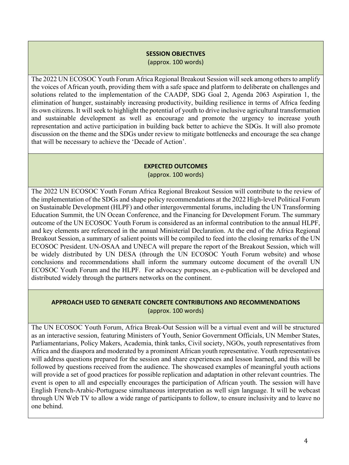#### **SESSION OBJECTIVES**

(approx. 100 words)

The 2022 UN ECOSOC Youth Forum Africa Regional Breakout Session will seek among others to amplify the voices of African youth, providing them with a safe space and platform to deliberate on challenges and solutions related to the implementation of the CAADP, SDG Goal 2, Agenda 2063 Aspiration 1, the elimination of hunger, sustainably increasing productivity, building resilience in terms of Africa feeding its own citizens. It will seek to highlight the potential of youth to drive inclusive agricultural transformation and sustainable development as well as encourage and promote the urgency to increase youth representation and active participation in building back better to achieve the SDGs. It will also promote discussion on the theme and the SDGs under review to mitigate bottlenecks and encourage the sea change that will be necessary to achieve the 'Decade of Action'.

#### **EXPECTED OUTCOMES**

(approx. 100 words)

The 2022 UN ECOSOC Youth Forum Africa Regional Breakout Session will contribute to the review of the implementation of the SDGs and shape policy recommendations at the 2022 High-level Political Forum on Sustainable Development (HLPF) and other intergovernmental forums, including the UN Transforming Education Summit, the UN Ocean Conference, and the Financing for Development Forum. The summary outcome of the UN ECOSOC Youth Forum is considered as an informal contribution to the annual HLPF, and key elements are referenced in the annual Ministerial Declaration. At the end of the Africa Regional Breakout Session, a summary of salient points will be compiled to feed into the closing remarks of the UN ECOSOC President. UN-OSAA and UNECA will prepare the report of the Breakout Session, which will be widely distributed by UN DESA (through the UN ECOSOC Youth Forum website) and whose conclusions and recommendations shall inform the summary outcome document of the overall UN ECOSOC Youth Forum and the HLPF. For advocacy purposes, an e-publication will be developed and distributed widely through the partners networks on the continent.

#### **APPROACH USED TO GENERATE CONCRETE CONTRIBUTIONS AND RECOMMENDATIONS** (approx. 100 words)

The UN ECOSOC Youth Forum, Africa Break-Out Session will be a virtual event and will be structured as an interactive session, featuring Ministers of Youth, Senior Government Officials, UN Member States, Parliamentarians, Policy Makers, Academia, think tanks, Civil society, NGOs, youth representatives from Africa and the diaspora and moderated by a prominent African youth representative. Youth representatives will address questions prepared for the session and share experiences and lesson learned, and this will be followed by questions received from the audience. The showcased examples of meaningful youth actions will provide a set of good practices for possible replication and adaptation in other relevant countries. The event is open to all and especially encourages the participation of African youth. The session will have English French-Arabic-Portuguese simultaneous interpretation as well sign language. It will be webcast through UN Web TV to allow a wide range of participants to follow, to ensure inclusivity and to leave no one behind.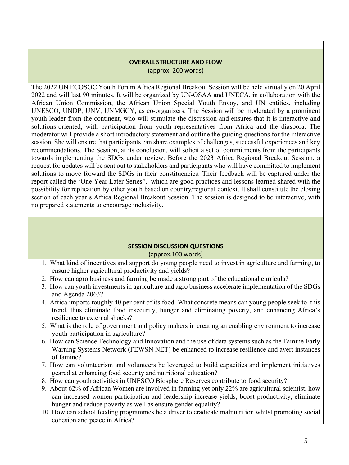#### **OVERALL STRUCTURE AND FLOW** (approx. 200 words)

The 2022 UN ECOSOC Youth Forum Africa Regional Breakout Session will be held virtually on 20 April 2022 and will last 90 minutes. It will be organized by UN-OSAA and UNECA, in collaboration with the African Union Commission, the African Union Special Youth Envoy, and UN entities, including UNESCO, UNDP, UNV, UNMGCY, as co-organizers. The Session will be moderated by a prominent youth leader from the continent, who will stimulate the discussion and ensures that it is interactive and solutions-oriented, with participation from youth representatives from Africa and the diaspora. The moderator will provide a short introductory statement and outline the guiding questions for the interactive session. She will ensure that participants can share examples of challenges, successful experiences and key recommendations. The Session, at its conclusion, will solicit a set of commitments from the participants towards implementing the SDGs under review. Before the 2023 Africa Regional Breakout Session, a request for updates will be sent out to stakeholders and participants who will have committed to implement solutions to move forward the SDGs in their constituencies. Their feedback will be captured under the report called the 'One Year Later Series", which are good practices and lessons learned shared with the possibility for replication by other youth based on country/regional context. It shall constitute the closing section of each year's Africa Regional Breakout Session. The session is designed to be interactive, with no prepared statements to encourage inclusivity.

#### **SESSION DISCUSSION QUESTIONS**

(approx.100 words)

- 1. What kind of incentives and support do young people need to invest in agriculture and farming, to ensure higher agricultural productivity and yields?
- 2. How can agro business and farming be made a strong part of the educational curricula?
- 3. How can youth investments in agriculture and agro business accelerate implementation of the SDGs and Agenda 2063?
- 4. Africa imports roughly 40 per cent of its food. What concrete means can young people seek to this trend, thus eliminate food insecurity, hunger and eliminating poverty, and enhancing Africa's resilience to external shocks?
- 5. What is the role of government and policy makers in creating an enabling environment to increase youth participation in agriculture?
- 6. How can Science Technology and Innovation and the use of data systems such as the Famine Early Warning Systems Network (FEWSN NET) be enhanced to increase resilience and avert instances of famine?
- 7. How can volunteerism and volunteers be leveraged to build capacities and implement initiatives geared at enhancing food security and nutritional education?
- 8. How can youth activities in UNESCO Biosphere Reserves contribute to food security?
- 9. About 62% of African Women are involved in farming yet only 22% are agricultural scientist, how can increased women participation and leadership increase yields, boost productivity, eliminate hunger and reduce poverty as well as ensure gender equality?
- 10. How can school feeding programmes be a driver to eradicate malnutrition whilst promoting social cohesion and peace in Africa?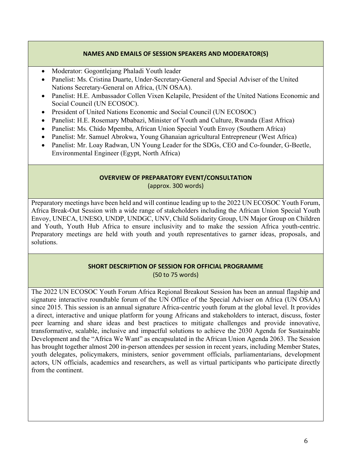#### **NAMES AND EMAILS OF SESSION SPEAKERS AND MODERATOR(S)**

- Moderator: Gogontlejang Phaladi Youth leader
- Panelist: Ms. Cristina Duarte, Under-Secretary-General and Special Adviser of the United Nations Secretary-General on Africa, (UN OSAA).
- Panelist: H.E. Ambassador Collen Vixen Kelapile, President of the United Nations Economic and Social Council (UN ECOSOC).
- President of United Nations Economic and Social Council (UN ECOSOC)
- Panelist: H.E. Rosemary Mbabazi, Minister of Youth and Culture, Rwanda (East Africa)
- Panelist: Ms. Chido Mpemba, African Union Special Youth Envoy (Southern Africa)
- Panelist: Mr. Samuel Abrokwa, Young Ghanaian agricultural Entrepreneur (West Africa)
- Panelist: Mr. Loay Radwan, UN Young Leader for the SDGs, CEO and Co-founder, G-Beetle, Environmental Engineer (Egypt, North Africa)

#### **OVERVIEW OF PREPARATORY EVENT/CONSULTATION**  (approx. 300 words)

Preparatory meetings have been held and will continue leading up to the 2022 UN ECOSOC Youth Forum, Africa Break-Out Session with a wide range of stakeholders including the African Union Special Youth Envoy, UNECA, UNESO, UNDP, UNDGC, UNV, Child Solidarity Group, UN Major Group on Children and Youth, Youth Hub Africa to ensure inclusivity and to make the session Africa youth-centric. Preparatory meetings are held with youth and youth representatives to garner ideas, proposals, and solutions.

#### **SHORT DESCRIPTION OF SESSION FOR OFFICIAL PROGRAMME**

(50 to 75 words)

The 2022 UN ECOSOC Youth Forum Africa Regional Breakout Session has been an annual flagship and signature interactive roundtable forum of the UN Office of the Special Adviser on Africa (UN OSAA) since 2015. This session is an annual signature Africa-centric youth forum at the global level. It provides a direct, interactive and unique platform for young Africans and stakeholders to interact, discuss, foster peer learning and share ideas and best practices to mitigate challenges and provide innovative, transformative, scalable, inclusive and impactful solutions to achieve the 2030 Agenda for Sustainable Development and the "Africa We Want" as encapsulated in the African Union Agenda 2063. The Session has brought together almost 200 in-person attendees per session in recent years, including Member States, youth delegates, policymakers, ministers, senior government officials, parliamentarians, development actors, UN officials, academics and researchers, as well as virtual participants who participate directly from the continent.